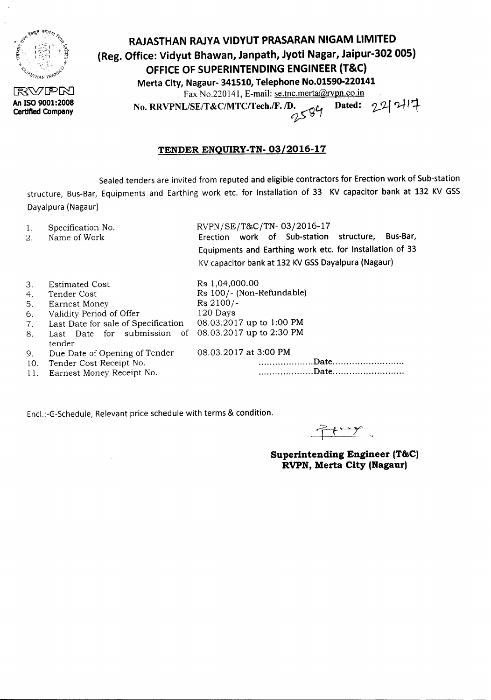

**Certified Company**

**RAJASTHAN RAJYA VIDYUT PRASARAN NIGAM LIMITED (Reg. Office: Vidyut Bhawan, Janpath, Jyoti Nagar, Jaipur-302 005) OFFICE OF SUPERINTENDING ENGINEER (T&C) Merta City, Nagaur- 341510, Telephone No.01590-220141** Fax No.220141, E-mail: <u>se.tnc.merta@rvpn.co.in</u><br>L/SE/T&C/MTC/Tech./F. *D.* <sub>OL</sub> Dated: 24 <sup>1</sup> rax 190.2201 ..., -<br>No. RRVPNL/SE/T&C/MTC/Tech./F. /D.<br>
2594

## **TENDER ENQUIRY-TN- 03/2016-17**

Sealed tenders are invited from reputed and eligible contractors for Erection work of Sub-station structure, Bus-Bar, Equipments and Earthing work etc. for Installation of 33 KV capacitor bank at 132 KV GSS Dayalpura(Nagaur)

- 1. Specification No.
- 2. Name of Work

RVPN/SE/T&C/TN- 03/2016-17 Erection work of Sub-station structure, Bus-Bar, Equipments and Earthing work etc. for Installation of 33 KVcapacitor bankat 132 KVGSSDayalpura (Nagaur)

| 3.  | Estimated Cost                                                 | Rs 1,04,000.00            |
|-----|----------------------------------------------------------------|---------------------------|
| 4.  | Tender Cost                                                    | Rs 100/- (Non-Refundable) |
| 5.  | <b>Earnest Money</b>                                           | $Rs\ 2100/-$              |
| 6.  | Validity Period of Offer                                       | 120 Days                  |
| 7.  | Last Date for sale of Specification                            | 08.03.2017 up to 1:00 PM  |
| 8.  | Last Date for submission of 08.03.2017 up to 2:30 PM<br>tender |                           |
| 9.  | Due Date of Opening of Tender                                  | 08.03.2017 at 3:00 PM     |
| 10. | Tender Cost Receipt No.                                        |                           |
| 11. | Earnest Money Receipt No.                                      |                           |
|     |                                                                |                           |

Encl.:-G-Schedule, Relevant price schedule with terms & condition.

 $f \rightarrow f$ 

**Superintending Engineer (T&C) RVPN, Merta City (Nagaur)**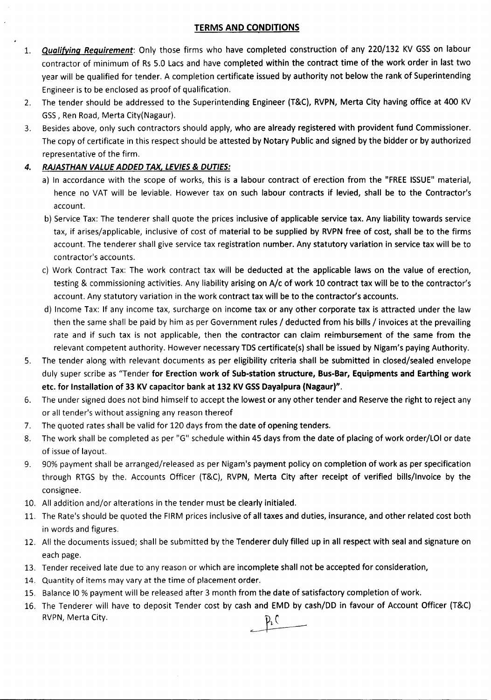## TERMS AND CONDITIONS

- 1. *Qualifying Requirement*: Only those firms who have completed construction of any 220/132 KV GSS on labour contractor of minimum of Rs 5.0 Lacs and have completed within the contract time of the work order in last two year will be qualified for tender. A completion certificate issued by authority not below the rank of Superintending Engineer is to be enclosed as proof of qualification.
- 2. The tender should be addressed to the Superintending Engineer (T&C), RVPN, Merta City having office at 400 KV GSS, Ren Road, Merta City(Nagaur).
- 3. Besides above, only such contractors should apply, who are already registered with provident fund Commissioner. The copy of certificate in this respect should be attested by Notary Public and signed by the bidder or by authorized representative of the firm.

## *4. RAJASTHAN VALUE ADDED TAX, LEVIES*& *DUTIES:*

- a) In accordance with the scope of works, this is a labour contract of erection from the "FREE ISSUE" material, hence no VAT will be leviable. However tax on such labour contracts if levied, shall be to the Contractor's account.
- b) Service Tax: The tenderer shall quote the prices inclusive of applicable service tax. Any liability towards service tax, if arises/applicable, inclusive of cost of material to be supplied by RVPN free of cost, shall be to the firms account. The tenderer shall give service tax registration number. Any statutory variation in service tax will be to contractor's accounts.
- c) Work Contract Tax: The work contract tax will be deducted at the applicable laws on the value of erection, testing & commissioning activities. Any liability arising on A/c of work 10 contract tax will be to the contractor's account. Any statutory variation in the work contract tax will be to the contractor's accounts.
- d) Income Tax: If any income tax, surcharge on income tax or any other corporate tax is attracted under the law then the same shall be paid by him as per Government rules / deducted from his bills / invoices at the prevailing rate and if such tax is not applicable, then the contractor can claim reimbursement of the same from the relevant competent authority. However necessary TDS certificate(s) shall be issued by Nigam's paying Authority.
- 5. The tender along with relevant documents as per eligibility criteria shall be submitted in closed/sealed envelope duly super scribe as 'Tender for Erection work of Sub-station structure, Bus-Bar, Equipments and Earthing work etc. for Installation of 33 KV capacitor bank at 132 KV GSS Dayalpura (Nagaur)".
- 6. The under signed does not bind himself to accept the lowest or any other tender and Reserve the right to reject any or all tender's without assigning any reason thereof
- 7. The quoted rates shall be valid for 120 days from the date of opening tenders.
- 8. The work shall be completed as per "G" schedule within 45 days from the date of placing of work order/LOI or date of issue of layout.
- 9. 90% payment shall be arranged/released as per Nigam's payment policy on completion of work as per specification through RTGS by the. Accounts Officer (T&C), RVPN, Merta City after receipt of verified bills/Invoice by the consignee.
- 10. All addition and/or alterations in the tender must be clearly initialed.
- 11. The Rate's should be quoted the FIRM prices inclusive of all taxes and duties, insurance, and other related cost both in words and figures.
- 12. All the documents issued; shall be submitted by the Tenderer duly filled up in all respect with seal and signature on each page.
- 13. Tender received late due to any reason or which are incomplete shall not be accepted for consideration,
- 14. Quantity of items may vary at the time of placement order.
- 15. Balance IO % payment will be released after 3 month from the date of satisfactory completion of work.
- 16. The Tenderer will have to deposit Tender cost by cash and EMD by cash/DD in favour of Account Officer (T&C) RVPN, Merta City.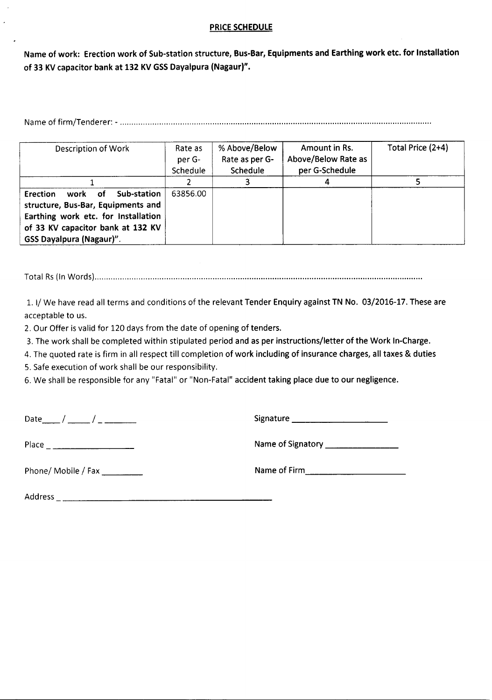## **PRICE SCHEDULE**

Name of work: Erection work of Sub-station structure, Bus-Bar, Equipments and Earthing work etc. for Installation of 33 KV capacitor bank at 132 KV GSS Dayalpura (Nagaur)".

Nameof firm/Tenderer: - .

| Description of Work                                                                                                                                                                            | Rate as<br>per G-<br>Schedule | % Above/Below<br>Rate as per G-<br>Schedule | Amount in Rs.<br>Above/Below Rate as<br>per G-Schedule | Total Price (2+4) |
|------------------------------------------------------------------------------------------------------------------------------------------------------------------------------------------------|-------------------------------|---------------------------------------------|--------------------------------------------------------|-------------------|
|                                                                                                                                                                                                |                               |                                             |                                                        |                   |
| Sub-station<br><b>Erection</b><br>work of<br>structure, Bus-Bar, Equipments and<br>Earthing work etc. for Installation<br>of 33 KV capacitor bank at 132 KV<br><b>GSS Dayalpura (Nagaur)".</b> | 63856.00                      |                                             |                                                        |                   |

TotaI Rs(In Words) .

1. I/We have read all terms and conditions of the relevant Tender Enquiry against TN No. 03/2016-17. These are acceptable to us.

2. Our Offer is valid for 120 days from the date of opening of tenders.

3. The work shall be completed within stipulated period and as per instructions/letter of the Work In-Charge.

4. The quoted rate is firm in all respect till completion of work including of insurance charges, all taxes & duties

5. Safe execution of work shall be our responsibility.

6. We shall be responsible for any "Fatal" or "Non-Fatal" accident taking place due to our negligence.

Date\_\_ / \_\_ / \_ Signature \_

Place Nameof Signatory \_

Phone/ Mobile / Fax \_ Nameof Firm, \_

Address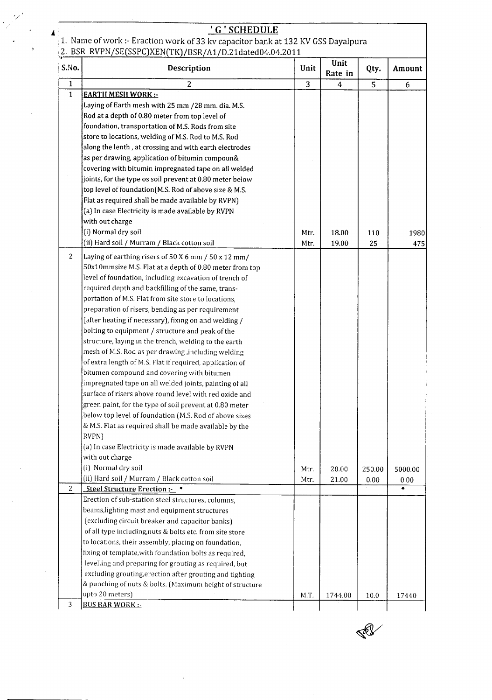| 4              | 'G'SCHEDULE                                                                                         |                |         |        |         |
|----------------|-----------------------------------------------------------------------------------------------------|----------------|---------|--------|---------|
|                | 1. Name of work :- Eraction work of 33 kv capacitor bank at 132 KV GSS Dayalpura                    |                |         |        |         |
| S.No.          | 2. BSR RVPN/SE(SSPC)XEN(TK)/BSR/A1/D.21dated04.04.2011<br>Description                               | Unit           | Unit    | Qty.   | Amount  |
|                |                                                                                                     |                | Rate in |        |         |
| $\mathbf{1}$   | 2                                                                                                   | $\overline{3}$ | 4       | 5      | 6       |
| $\mathbf{1}$   | <b>EARTH MESH WORK:-</b>                                                                            |                |         |        |         |
|                | Laying of Earth mesh with 25 mm /28 mm. dia. M.S.<br>Rod at a depth of 0.80 meter from top level of |                |         |        |         |
|                | foundation, transportation of M.S. Rods from site                                                   |                |         |        |         |
|                | store to locations, welding of M.S. Rod to M.S. Rod                                                 |                |         |        |         |
|                | along the lenth, at crossing and with earth electrodes                                              |                |         |        |         |
|                | as per drawing, application of bitumin compoun&                                                     |                |         |        |         |
|                | covering with bitumin impregnated tape on all welded                                                |                |         |        |         |
|                | joints, for the type os soil prevent at 0.80 meter below                                            |                |         |        |         |
|                | top level of foundation (M.S. Rod of above size & M.S.                                              |                |         |        |         |
|                | Flat as required shall be made available by RVPN)                                                   |                |         |        |         |
|                | (a) In case Electricity is made available by RVPN                                                   |                |         |        |         |
|                | with out charge                                                                                     |                |         |        |         |
|                | (i) Normal dry soil                                                                                 | Mtr.           | 18.00   | 110    | 1980    |
|                | (ii) Hard soil / Murram / Black cotton soil                                                         | Mtr.           | 19.00   | 25     | 475     |
| 2              | Laying of earthing risers of 50 X 6 mm / 50 x 12 mm/                                                |                |         |        |         |
|                | 50x10mmsize M.S. Flat at a depth of 0.80 meter from top                                             |                |         |        |         |
|                | level of foundation, including excavation of trench of                                              |                |         |        |         |
|                | required depth and backfilling of the same, trans-                                                  |                |         |        |         |
|                | portation of M.S. Flat from site store to locations,                                                |                |         |        |         |
|                | preparation of risers, bending as per requirement                                                   |                |         |        |         |
|                | (after heating if necessary), fixing on and welding /                                               |                |         |        |         |
|                | bolting to equipment / structure and peak of the                                                    |                |         |        |         |
|                | structure, laying in the trench, welding to the earth                                               |                |         |        |         |
|                | mesh of M.S. Rod as per drawing, including welding                                                  |                |         |        |         |
|                | of extra length of M.S. Flat if required, application of                                            |                |         |        |         |
|                | bitumen compound and covering with bitumen                                                          |                |         |        |         |
|                | impregnated tape on all welded joints, painting of all                                              |                |         |        |         |
|                | surface of risers above round level with red oxide and                                              |                |         |        |         |
|                | green paint, for the type of soil prevent at 0.80 meter                                             |                |         |        |         |
|                | below top level of foundation (M.S. Rod of above sizes                                              |                |         |        |         |
|                | & M.S. Flat as required shall be made available by the                                              |                |         |        |         |
|                | RVPN)<br>(a) In case Electricity is made available by RVPN                                          |                |         |        |         |
|                | with out charge                                                                                     |                |         |        |         |
|                | (i) Normal dry soil                                                                                 | Mtr.           | 20.00   | 250.00 | 5000.00 |
|                | (ii) Hard soil / Murram / Black cotton soil                                                         | Mtr.           | 21.00   | 0.00   | 0.00    |
| $\overline{2}$ | Steel Structure Erection:-                                                                          |                |         |        | ۰       |
|                | Erection of sub-station steel structures, columns,                                                  |                |         |        |         |
|                | beams, lighting mast and equipment structures                                                       |                |         |        |         |
|                | (excluding circuit breaker and capacitor banks)                                                     |                |         |        |         |
|                | of all type including, nuts & bolts etc. from site store                                            |                |         |        |         |
|                | to locations, their assembly, placing on foundation,                                                |                |         |        |         |
|                | fixing of template, with foundation bolts as required,                                              |                |         |        |         |
|                | levelling and preparing for grouting as required, but                                               |                |         |        |         |
|                | excluding grouting, erection after grouting and tighting                                            |                |         |        |         |
|                | & punching of nuts & bolts. (Maximum height of structure                                            |                |         |        |         |
|                | upto 20 meters)                                                                                     | M.T.           | 1744.00 | 10.0   | 17440   |
| 3              | <b>BUS BAR WORK:-</b>                                                                               |                |         |        |         |

 $\mathcal{L}^{\text{max}}_{\text{max}}$  and  $\mathcal{L}^{\text{max}}_{\text{max}}$ 

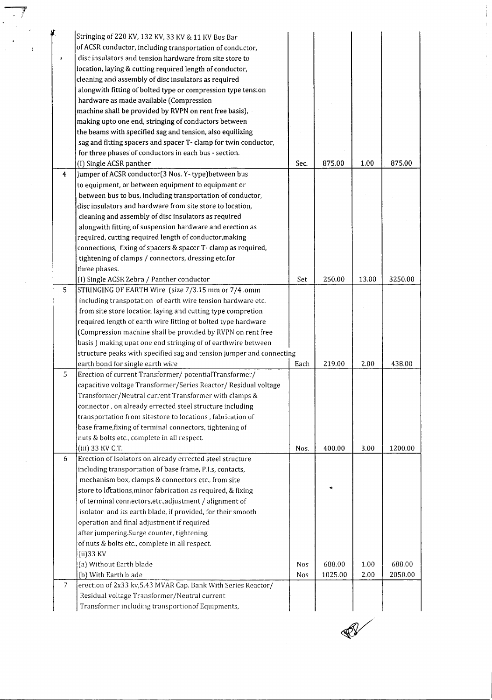|                | Stringing of 220 KV, 132 KV, 33 KV & 11 KV Bus Bar                   |            |         |       |         |
|----------------|----------------------------------------------------------------------|------------|---------|-------|---------|
|                | of ACSR conductor, including transportation of conductor,            |            |         |       |         |
|                | disc insulators and tension hardware from site store to              |            |         |       |         |
|                |                                                                      |            |         |       |         |
|                | location, laying & cutting required length of conductor,             |            |         |       |         |
|                | cleaning and assembly of disc insulators as required                 |            |         |       |         |
|                | alongwith fitting of bolted type or compression type tension         |            |         |       |         |
|                | hardware as made available (Compression                              |            |         |       |         |
|                | machine shall be provided by RVPN on rent free basis),               |            |         |       |         |
|                | making upto one end, stringing of conductors between                 |            |         |       |         |
|                | the beams with specified sag and tension, also equilizing            |            |         |       |         |
|                | sag and fitting spacers and spacer T- clamp for twin conductor,      |            |         |       |         |
|                | for three phases of conductors in each bus - section.                |            |         |       |         |
|                | (I) Single ACSR panther                                              | Sec.       | 875.00  | 1.00  | 875.00  |
| $\overline{4}$ | Jumper of ACSR conductor(3 Nos. Y-type)between bus                   |            |         |       |         |
|                | to equipment, or between equipment to equipment or                   |            |         |       |         |
|                | between bus to bus, including transportation of conductor,           |            |         |       |         |
|                | disc insulators and hardware from site store to location,            |            |         |       |         |
|                | cleaning and assembly of disc insulators as required                 |            |         |       |         |
|                | alongwith fitting of suspension hardware and erection as             |            |         |       |         |
|                | required, cutting required length of conductor, making               |            |         |       |         |
|                | connections, fixing of spacers & spacer T- clamp as required,        |            |         |       |         |
|                | tightening of clamps / connectors, dressing etc.for                  |            |         |       |         |
|                | three phases.                                                        |            |         |       |         |
|                | (I) Single ACSR Zebra / Panther conductor                            | Set        | 250.00  | 13.00 | 3250.00 |
| 5              | STRINGING OF EARTH Wire (size 7/3.15 mm or 7/4 .omm                  |            |         |       |         |
|                | including transpotation of earth wire tension hardware etc.          |            |         |       |         |
|                |                                                                      |            |         |       |         |
|                | from site store location laying and cutting type compretion          |            |         |       |         |
|                | required length of earth wire fitting of bolted type hardware        |            |         |       |         |
|                | (Compression machine shall be provided by RVPN on rent free          |            |         |       |         |
|                | basis) making upat one end stringing of of earthwire between         |            |         |       |         |
|                | structure peaks with specified sag and tension jumper and connecting |            |         |       |         |
|                | earth bond for single earth wire                                     | Each       | 219.00  | 2.00  | 438.00  |
| 5              | Erection of current Transformer/ potentialTransformer/               |            |         |       |         |
|                | capacitive voltage Transformer/Series Reactor/ Residual voltage      |            |         |       |         |
|                | Transformer/Neutral current Transformer with clamps &                |            |         |       |         |
|                | connector, on already errected steel structure including             |            |         |       |         |
|                | transportation from sitestore to locations, fabrication of           |            |         |       |         |
|                | base frame, fixing of terminal connectors, tightening of             |            |         |       |         |
|                | nuts & bolts etc., complete in all respect.                          |            |         |       |         |
|                | (iii) 33 KV C.T.                                                     | Nos.       | 400.00  | 3.00  | 1200.00 |
| 6.             | Erection of Isolators on already errected steel structure            |            |         |       |         |
|                | including transportation of base frame, P.I.s, contacts,             |            |         |       |         |
|                | mechanism box, clamps & connectors etc., from site                   |            |         |       |         |
|                | store to locations, minor fabrication as required, & fixing          |            |         |       |         |
|                | of terminal connectors, etc., adjustment / alignment of              |            |         |       |         |
|                | isolator and its earth blade, if provided, for their smooth          |            |         |       |         |
|                | operation and final adjustment if required                           |            |         |       |         |
|                | after jumpering.Surge counter, tightening                            |            |         |       |         |
|                | of nuts & bolts etc., complete in all respect.                       |            |         |       |         |
|                | (ii) 33 KV                                                           |            |         |       |         |
|                | (a) Without Earth blade                                              | <b>Nos</b> | 688.00  | 1.00  | 688.00  |
|                | (b) With Earth blade                                                 | Nos        | 1025.00 | 2.00  | 2050.00 |
| 7              | erection of 2x33 kv, 5.43 MVAR Cap. Bank With Series Reactor/        |            |         |       |         |
|                | Residual voltage Transformer/Neutral current                         |            |         |       |         |
|                | Transformer including transportionof Equipments,                     |            |         |       |         |
|                |                                                                      |            |         |       |         |

 $\overline{\phantom{a}}$ 

 $\bar{\mathcal{A}}$ 



 $\sim$   $\sim$ 

 $\begin{array}{c} \bullet \\ \bullet \\ \bullet \\ \bullet \end{array}$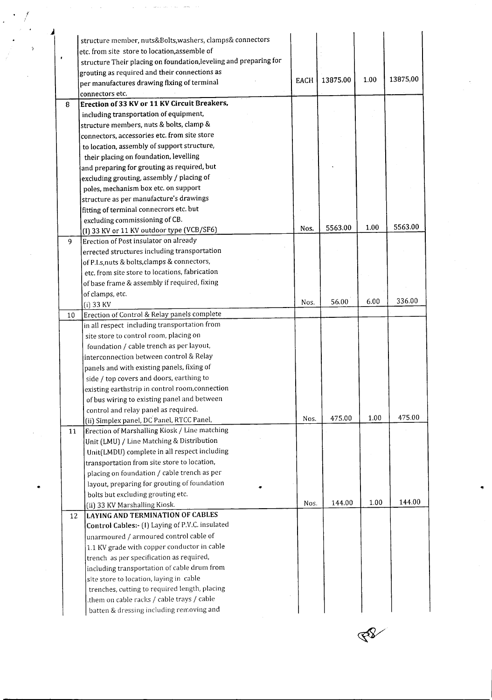|   |    | structure member, nuts&Bolts, washers, clamps& connectors<br>etc. from site store to location, assemble of |             |          |      |          |
|---|----|------------------------------------------------------------------------------------------------------------|-------------|----------|------|----------|
|   |    | structure Their placing on foundation, leveling and preparing for                                          |             |          |      |          |
|   |    | grouting as required and their connections as                                                              |             |          |      |          |
|   |    | per manufactures drawing flxing of terminal                                                                | <b>EACH</b> | 13875.00 | 1.00 | 13875.00 |
|   |    | connectors etc.                                                                                            |             |          |      |          |
| 8 |    | Erection of 33 KV or 11 KV Circuit Breakers,                                                               |             |          |      |          |
|   |    | including transportation of equipment,                                                                     |             |          |      |          |
|   |    | structure members, nuts & bolts, clamp &                                                                   |             |          |      |          |
|   |    | connectors, accessories etc. from site store                                                               |             |          |      |          |
|   |    | to location, assembly of support structure,                                                                |             |          |      |          |
|   |    | their placing on foundation, levelling                                                                     |             |          |      |          |
|   |    | and preparing for grouting as required, but                                                                |             |          |      |          |
|   |    | excluding grouting, assembly / placing of                                                                  |             |          |      |          |
|   |    | poles, mechanism box etc. on support                                                                       |             |          |      |          |
|   |    | structure as per manufacture's drawings                                                                    |             |          |      |          |
|   |    | fitting of terminal connecrors etc. but                                                                    |             |          |      |          |
|   |    | excluding commissioning of CB.                                                                             |             | 5563.00  | 1.00 | 5563.00  |
|   |    | (I) 33 KV or 11 KV outdoor type (VCB/SF6)                                                                  | Nos.        |          |      |          |
|   | 9  | Erection of Post insulator on already                                                                      |             |          |      |          |
|   |    | errected structures including transportation                                                               |             |          |      |          |
|   |    | of P.I.s, nuts & bolts, clamps & connectors,                                                               |             |          |      |          |
|   |    | etc. from site store to locations, fabrication                                                             |             |          |      |          |
|   |    | of base frame & assembly if required, fixing                                                               |             |          |      |          |
|   |    | of clamps, etc.                                                                                            | Nos.        | 56.00    | 6.00 | 336.00   |
|   |    | (i) 33 KV                                                                                                  |             |          |      |          |
|   | 10 | Erection of Control & Relay panels complete                                                                |             |          |      |          |
|   |    | in all respect including transportation from                                                               |             |          |      |          |
|   |    | site store to control room, placing on                                                                     |             |          |      |          |
|   |    | foundation / cable trench as per layout,                                                                   |             |          |      |          |
|   |    | interconnection between control & Relay                                                                    |             |          |      |          |
|   |    | panels and with existing panels, fixing of                                                                 |             |          |      |          |
|   |    | side / top covers and doors, earthing to                                                                   |             |          |      |          |
|   |    | existing earthstrip in control room, connection                                                            |             |          |      |          |
|   |    | of bus wiring to existing panel and between                                                                |             |          |      |          |
|   |    | control and relay panel as required.                                                                       | Nos.        | 475.00   | 1.00 | 475.00   |
|   |    | (ii) Simplex panel, DC Panel, RTCC Panel,                                                                  |             |          |      |          |
|   | 11 | Erection of Marshalling Kiosk / Line matching<br>Unit (LMU) / Line Matching & Distribution                 |             |          |      |          |
|   |    | Unit(LMDU) complete in all respect including                                                               |             |          |      |          |
|   |    | transportation from site store to location,                                                                |             |          |      |          |
|   |    | placing on foundation / cable trench as per                                                                |             |          |      |          |
|   |    | layout, preparing for grouting of foundation                                                               |             |          |      |          |
|   |    | bolts but excluding grouting etc.                                                                          |             |          |      |          |
|   |    | (ii) 33 KV Marshalling Kiosk.                                                                              | Nos.        | 144.00   | 1.00 | 144.00   |
|   |    | LAYING AND TERMINATION OF CABLES                                                                           |             |          |      |          |
|   | 12 | Control Cables:- (I) Laying of P.V.C. insulated                                                            |             |          |      |          |
|   |    | unarmoured / armoured control cable of                                                                     |             |          |      |          |
|   |    | 1.1 KV grade with copper conductor in cable                                                                |             |          |      |          |
|   |    |                                                                                                            |             |          |      |          |
|   |    | trench as per specification as required,                                                                   |             |          |      |          |
|   |    | including transportation of cable drum from                                                                |             |          |      |          |
|   |    | site store to location, laying in cable                                                                    |             |          |      |          |
|   |    | trenches, cutting to required length, placing                                                              |             |          |      |          |
|   |    | them on cable racks / cable trays / cable.                                                                 |             |          |      |          |
|   |    | batten & dressing including removing and                                                                   |             |          |      |          |

ĿX